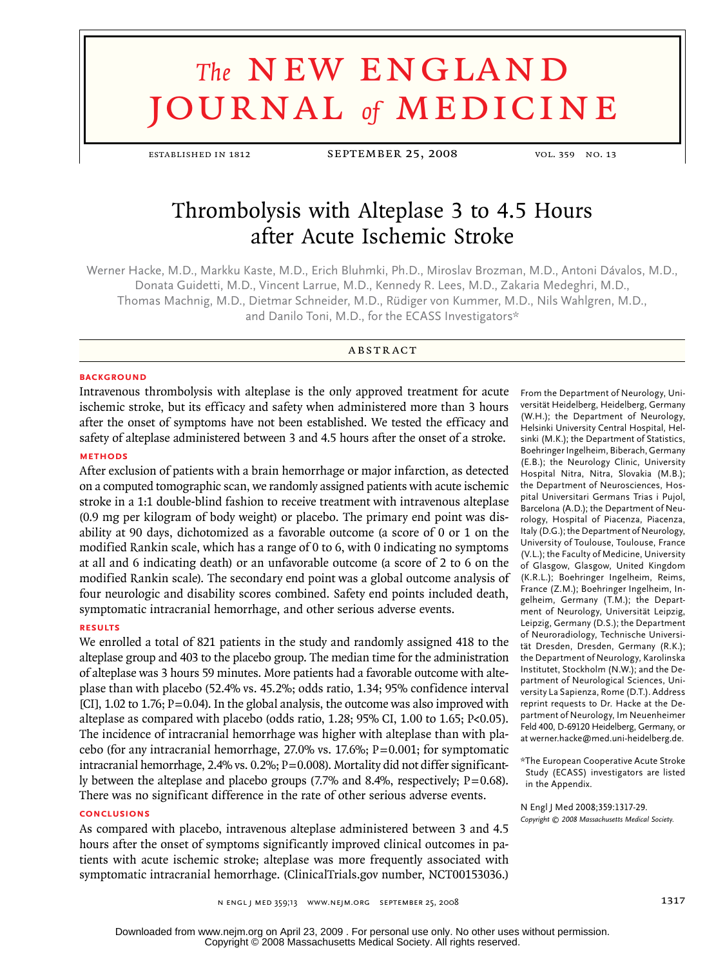# **The NEW ENGLAND** journal *of* medicine

established in 1812 SEPTEMBER 25, 2008 vol. 359 No. 13

# Thrombolysis with Alteplase 3 to 4.5 Hours after Acute Ischemic Stroke

Werner Hacke, M.D., Markku Kaste, M.D., Erich Bluhmki, Ph.D., Miroslav Brozman, M.D., Antoni Dávalos, M.D., Donata Guidetti, M.D., Vincent Larrue, M.D., Kennedy R. Lees, M.D., Zakaria Medeghri, M.D., Thomas Machnig, M.D., Dietmar Schneider, M.D., Rüdiger von Kummer, M.D., Nils Wahlgren, M.D., and Danilo Toni, M.D., for the ECASS Investigators\*

#### ABSTRACT

#### **BACKGROUND**

Intravenous thrombolysis with alteplase is the only approved treatment for acute ischemic stroke, but its efficacy and safety when administered more than 3 hours after the onset of symptoms have not been established. We tested the efficacy and safety of alteplase administered between 3 and 4.5 hours after the onset of a stroke.

## **Methods**

After exclusion of patients with a brain hemorrhage or major infarction, as detected on a computed tomographic scan, we randomly assigned patients with acute ischemic stroke in a 1:1 double-blind fashion to receive treatment with intravenous alteplase (0.9 mg per kilogram of body weight) or placebo. The primary end point was disability at 90 days, dichotomized as a favorable outcome (a score of 0 or 1 on the modified Rankin scale, which has a range of 0 to 6, with 0 indicating no symptoms at all and 6 indicating death) or an unfavorable outcome (a score of 2 to 6 on the modified Rankin scale). The secondary end point was a global outcome analysis of four neurologic and disability scores combined. Safety end points included death, symptomatic intracranial hemorrhage, and other serious adverse events.

#### **Results**

We enrolled a total of 821 patients in the study and randomly assigned 418 to the alteplase group and 403 to the placebo group. The median time for the administration of alteplase was 3 hours 59 minutes. More patients had a favorable outcome with alteplase than with placebo (52.4% vs. 45.2%; odds ratio, 1.34; 95% confidence interval [CI], 1.02 to 1.76; P=0.04). In the global analysis, the outcome was also improved with alteplase as compared with placebo (odds ratio, 1.28; 95% CI, 1.00 to 1.65; P<0.05). The incidence of intracranial hemorrhage was higher with alteplase than with placebo (for any intracranial hemorrhage, 27.0% vs. 17.6%;  $P = 0.001$ ; for symptomatic intracranial hemorrhage, 2.4% vs.  $0.2\%$ ; P=0.008). Mortality did not differ significantly between the alteplase and placebo groups (7.7% and 8.4%, respectively; P=0.68). There was no significant difference in the rate of other serious adverse events.

#### **Conclusions**

As compared with placebo, intravenous alteplase administered between 3 and 4.5 hours after the onset of symptoms significantly improved clinical outcomes in patients with acute ischemic stroke; alteplase was more frequently associated with symptomatic intracranial hemorrhage. (ClinicalTrials.gov number, NCT00153036.)

From the Department of Neurology, Universität Heidelberg, Heidelberg, Germany (W.H.); the Department of Neurology, Helsinki University Central Hospital, Helsinki (M.K.); the Department of Statistics, Boehringer Ingelheim, Biberach, Germany (E.B.); the Neurology Clinic, University Hospital Nitra, Nitra, Slovakia (M.B.); the Department of Neurosciences, Hospital Universitari Germans Trias i Pujol, Barcelona (A.D.); the Department of Neurology, Hospital of Piacenza, Piacenza, Italy (D.G.); the Department of Neurology, University of Toulouse, Toulouse, France (V.L.); the Faculty of Medicine, University of Glasgow, Glasgow, United Kingdom (K.R.L.); Boehringer Ingelheim, Reims, France (Z.M.); Boehringer Ingelheim, Ingelheim, Germany (T.M.); the Department of Neurology, Universität Leipzig, Leipzig, Germany (D.S.); the Department of Neuroradiology, Technische Universität Dresden, Dresden, Germany (R.K.); the Department of Neurology, Karolinska Institutet, Stockholm (N.W.); and the Department of Neurological Sciences, University La Sapienza, Rome (D.T.). Address reprint requests to Dr. Hacke at the Department of Neurology, Im Neuenheimer Feld 400, D-69120 Heidelberg, Germany, or at werner.hacke@med.uni-heidelberg.de.

\*The European Cooperative Acute Stroke Study (ECASS) investigators are listed in the Appendix.

N Engl J Med 2008;359:1317-29. *Copyright © 2008 Massachusetts Medical Society.*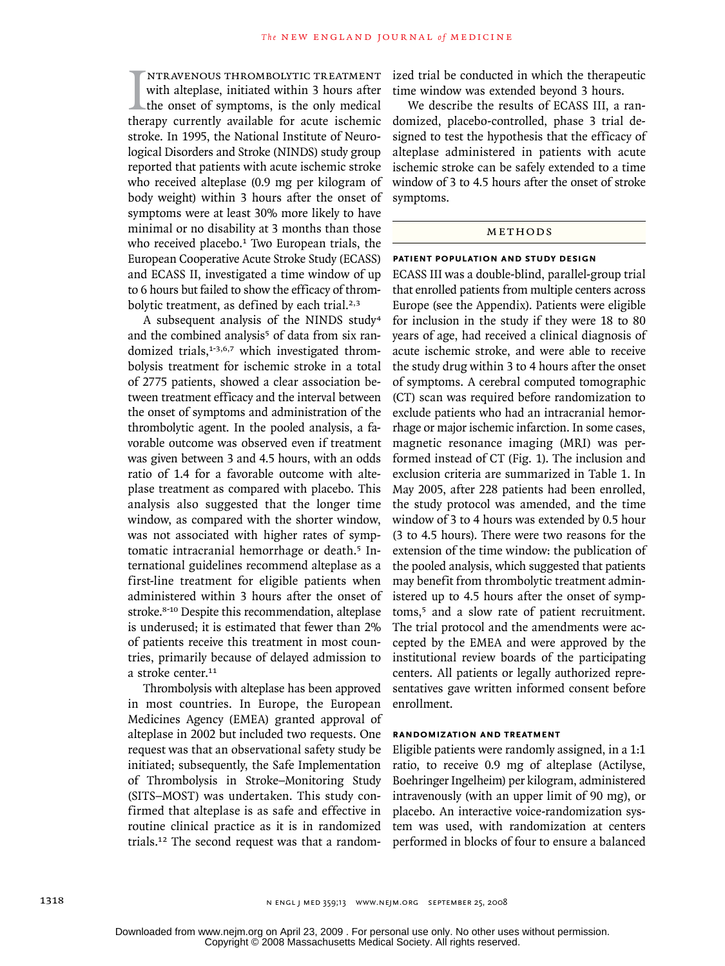IMTRAVENOUS THROMBOLYTIC TREATMENT<br>
with alteplase, initiated within 3 hours after<br>
the onset of symptoms, is the only medical<br>
therapy currently available for acute ischemic ntravenous thrombolytic treatment with alteplase, initiated within 3 hours after the onset of symptoms, is the only medical stroke. In 1995, the National Institute of Neurological Disorders and Stroke (NINDS) study group reported that patients with acute ischemic stroke who received alteplase (0.9 mg per kilogram of body weight) within 3 hours after the onset of symptoms were at least 30% more likely to have minimal or no disability at 3 months than those who received placebo. $1$  Two European trials, the European Cooperative Acute Stroke Study (ECASS) and ECASS II, investigated a time window of up to 6 hours but failed to show the efficacy of thrombolytic treatment, as defined by each trial.<sup>2,3</sup>

A subsequent analysis of the NINDS study<sup>4</sup> and the combined analysis<sup>5</sup> of data from six randomized trials, $1-3,6,7$  which investigated thrombolysis treatment for ischemic stroke in a total of 2775 patients, showed a clear association between treatment efficacy and the interval between the onset of symptoms and administration of the thrombolytic agent. In the pooled analysis, a favorable outcome was observed even if treatment was given between 3 and 4.5 hours, with an odds ratio of 1.4 for a favorable outcome with alteplase treatment as compared with placebo. This analysis also suggested that the longer time window, as compared with the shorter window, was not associated with higher rates of symptomatic intracranial hemorrhage or death.<sup>5</sup> International guidelines recommend alteplase as a first-line treatment for eligible patients when administered within 3 hours after the onset of stroke.8-10 Despite this recommendation, alteplase is underused; it is estimated that fewer than 2% of patients receive this treatment in most countries, primarily because of delayed admission to a stroke center.<sup>11</sup>

Thrombolysis with alteplase has been approved in most countries. In Europe, the European Medicines Agency (EMEA) granted approval of alteplase in 2002 but included two requests. One request was that an observational safety study be initiated; subsequently, the Safe Implementation of Thrombolysis in Stroke–Monitoring Study (SITS–MOST) was undertaken. This study confirmed that alteplase is as safe and effective in routine clinical practice as it is in randomized trials.12 The second request was that a randomized trial be conducted in which the therapeutic time window was extended beyond 3 hours.

We describe the results of ECASS III, a randomized, placebo-controlled, phase 3 trial designed to test the hypothesis that the efficacy of alteplase administered in patients with acute ischemic stroke can be safely extended to a time window of 3 to 4.5 hours after the onset of stroke symptoms.

# Methods

#### **Patient Population and Study Design**

ECASS III was a double-blind, parallel-group trial that enrolled patients from multiple centers across Europe (see the Appendix). Patients were eligible for inclusion in the study if they were 18 to 80 years of age, had received a clinical diagnosis of acute ischemic stroke, and were able to receive the study drug within 3 to 4 hours after the onset of symptoms. A cerebral computed tomographic (CT) scan was required before randomization to exclude patients who had an intracranial hemorrhage or major ischemic infarction. In some cases, magnetic resonance imaging (MRI) was performed instead of CT (Fig. 1). The inclusion and exclusion criteria are summarized in Table 1. In May 2005, after 228 patients had been enrolled, the study protocol was amended, and the time window of 3 to 4 hours was extended by 0.5 hour (3 to 4.5 hours). There were two reasons for the extension of the time window: the publication of the pooled analysis, which suggested that patients may benefit from thrombolytic treatment administered up to 4.5 hours after the onset of symptoms,<sup>5</sup> and a slow rate of patient recruitment. The trial protocol and the amendments were accepted by the EMEA and were approved by the institutional review boards of the participating centers. All patients or legally authorized representatives gave written informed consent before enrollment.

### **Randomization and Treatment**

Eligible patients were randomly assigned, in a 1:1 ratio, to receive 0.9 mg of alteplase (Actilyse, Boehringer Ingelheim) per kilogram, administered intravenously (with an upper limit of 90 mg), or placebo. An interactive voice-randomization system was used, with randomization at centers performed in blocks of four to ensure a balanced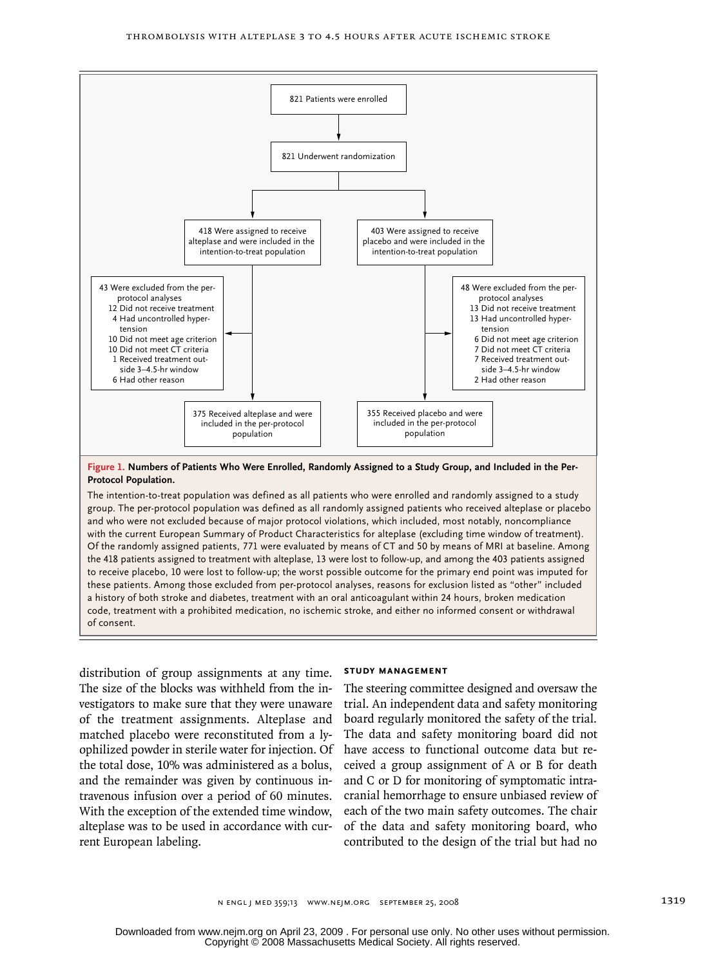

33 patients assigned patients, 77 were etalated by means of examples by means of min at baseline. Through the 418 patients assigned to treatment with alteplase, 13 were lost to follow-up, and among the 403 patients assigne AUTHOR: RETAKE 1st Hacke The intention-to-treat population was defined as all patients who were enrolled and randomly assigned to a study group. The per-protocol population was defined as an randomly assigned pattents who received alteplase or plac<br>and who were not excluded because of major protocol violations, which included, most notably, noncompliance which be carrent Laropean Sammary of Hoddet Enlineeringles for analytic perchanni<sub>g</sub> time which of iteamenty.<br>Of the randomly assigned patients, 771 were evaluated by means of CT and 50 by means of MRI at baseline. Among group. The per-protocol population was defined as all randomly assigned patients who received alteplase or placebo with the current European Summary of Product Characteristics for alteplase (excluding time window of treatment). to receive placebo, 10 were lost to follow-up; the worst possible outcome for the primary end point was imputed for<br><del>.</del> **Figure has been redrawn and type has been reset.** these patients. Among those excluded from per-protocol analyses, reasons for exclusion listed as "other" included a history of both stroke and diabetes, treatment with an oral anticoagulant within 24 hours, broken medication code, treatment with a prohibited medication, no ischemic stroke, and either no informed consent or withdrawal of consent.

distribution of group assignments at any time. The size of the blocks was withheld from the investigators to make sure that they were unaware of the treatment assignments. Alteplase and matched placebo were reconstituted from a lyophilized powder in sterile water for injection. Of have access to functional outcome data but rethe total dose, 10% was administered as a bolus, and the remainder was given by continuous intravenous infusion over a period of 60 minutes. With the exception of the extended time window, alteplase was to be used in accordance with current European labeling.

#### **Study Management**

The steering committee designed and oversaw the trial. An independent data and safety monitoring board regularly monitored the safety of the trial. The data and safety monitoring board did not ceived a group assignment of A or B for death and C or D for monitoring of symptomatic intracranial hemorrhage to ensure unbiased review of each of the two main safety outcomes. The chair of the data and safety monitoring board, who contributed to the design of the trial but had no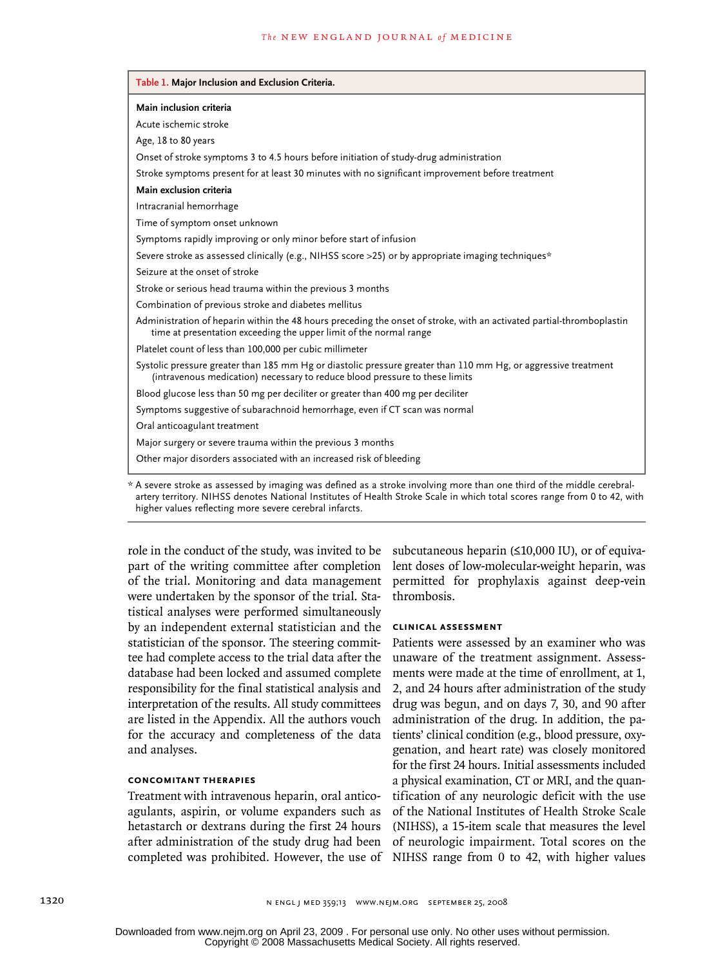| Table 1. Major Inclusion and Exclusion Criteria.                                                                                                                                              |
|-----------------------------------------------------------------------------------------------------------------------------------------------------------------------------------------------|
| Main inclusion criteria                                                                                                                                                                       |
| Acute ischemic stroke                                                                                                                                                                         |
| Age, 18 to 80 years                                                                                                                                                                           |
| Onset of stroke symptoms 3 to 4.5 hours before initiation of study-drug administration                                                                                                        |
| Stroke symptoms present for at least 30 minutes with no significant improvement before treatment                                                                                              |
| Main exclusion criteria                                                                                                                                                                       |
| Intracranial hemorrhage                                                                                                                                                                       |
| Time of symptom onset unknown                                                                                                                                                                 |
| Symptoms rapidly improving or only minor before start of infusion                                                                                                                             |
| Severe stroke as assessed clinically (e.g., NIHSS score >25) or by appropriate imaging techniques*                                                                                            |
| Seizure at the onset of stroke                                                                                                                                                                |
| Stroke or serious head trauma within the previous 3 months                                                                                                                                    |
| Combination of previous stroke and diabetes mellitus                                                                                                                                          |
| Administration of heparin within the 48 hours preceding the onset of stroke, with an activated partial-thromboplastin<br>time at presentation exceeding the upper limit of the normal range   |
| Platelet count of less than 100,000 per cubic millimeter                                                                                                                                      |
| Systolic pressure greater than 185 mm Hg or diastolic pressure greater than 110 mm Hg, or aggressive treatment<br>(intravenous medication) necessary to reduce blood pressure to these limits |
| Blood glucose less than 50 mg per deciliter or greater than 400 mg per deciliter                                                                                                              |
| Symptoms suggestive of subarachnoid hemorrhage, even if CT scan was normal                                                                                                                    |
| Oral anticoagulant treatment                                                                                                                                                                  |
| Major surgery or severe trauma within the previous 3 months                                                                                                                                   |
| Other major disorders associated with an increased risk of bleeding                                                                                                                           |

\* A severe stroke as assessed by imaging was defined as a stroke involving more than one third of the middle cerebralartery territory. NIHSS denotes National Institutes of Health Stroke Scale in which total scores range from 0 to 42, with higher values reflecting more severe cerebral infarcts.

role in the conduct of the study, was invited to be part of the writing committee after completion of the trial. Monitoring and data management were undertaken by the sponsor of the trial. Statistical analyses were performed simultaneously by an independent external statistician and the statistician of the sponsor. The steering committee had complete access to the trial data after the database had been locked and assumed complete responsibility for the final statistical analysis and interpretation of the results. All study committees are listed in the Appendix. All the authors vouch for the accuracy and completeness of the data and analyses.

## **Concomitant Therapies**

Treatment with intravenous heparin, oral anticoagulants, aspirin, or volume expanders such as hetastarch or dextrans during the first 24 hours after administration of the study drug had been subcutaneous heparin (≤10,000 IU), or of equivalent doses of low-molecular-weight heparin, was permitted for prophylaxis against deep-vein thrombosis.

#### **Clinical Assessment**

completed was prohibited. However, the use of NIHSS range from 0 to 42, with higher values Patients were assessed by an examiner who was unaware of the treatment assignment. Assessments were made at the time of enrollment, at 1, 2, and 24 hours after administration of the study drug was begun, and on days 7, 30, and 90 after administration of the drug. In addition, the patients' clinical condition (e.g., blood pressure, oxygenation, and heart rate) was closely monitored for the first 24 hours. Initial assessments included a physical examination, CT or MRI, and the quantification of any neurologic deficit with the use of the National Institutes of Health Stroke Scale (NIHSS), a 15-item scale that measures the level of neurologic impairment. Total scores on the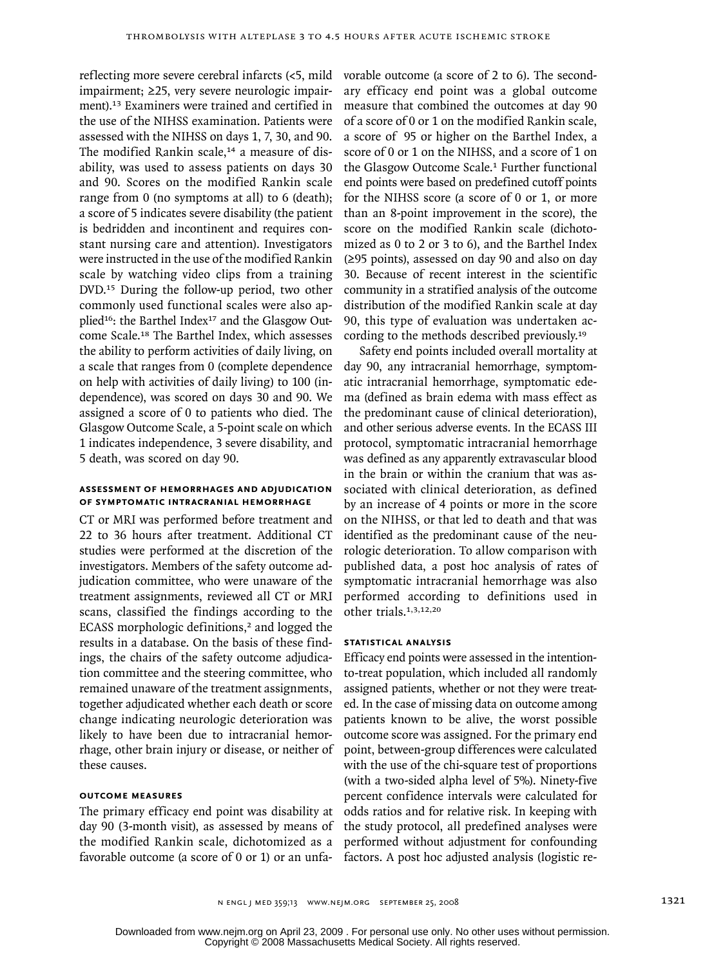reflecting more severe cerebral infarcts (<5, mild impairment; ≥25, very severe neurologic impairment).13 Examiners were trained and certified in the use of the NIHSS examination. Patients were assessed with the NIHSS on days 1, 7, 30, and 90. The modified Rankin scale,<sup>14</sup> a measure of disability, was used to assess patients on days 30 and 90. Scores on the modified Rankin scale range from 0 (no symptoms at all) to 6 (death); a score of 5 indicates severe disability (the patient is bedridden and incontinent and requires constant nursing care and attention). Investigators were instructed in the use of the modified Rankin scale by watching video clips from a training DVD.15 During the follow-up period, two other commonly used functional scales were also applied<sup>16</sup>: the Barthel Index<sup>17</sup> and the Glasgow Outcome Scale.18 The Barthel Index, which assesses the ability to perform activities of daily living, on a scale that ranges from 0 (complete dependence on help with activities of daily living) to 100 (independence), was scored on days 30 and 90. We assigned a score of 0 to patients who died. The Glasgow Outcome Scale, a 5-point scale on which 1 indicates independence, 3 severe disability, and 5 death, was scored on day 90.

# **Assessment of Hemorrhages and Adjudication of Symptomatic Intracranial Hemorrhage**

CT or MRI was performed before treatment and 22 to 36 hours after treatment. Additional CT studies were performed at the discretion of the investigators. Members of the safety outcome adjudication committee, who were unaware of the treatment assignments, reviewed all CT or MRI scans, classified the findings according to the ECASS morphologic definitions,<sup>2</sup> and logged the results in a database. On the basis of these findings, the chairs of the safety outcome adjudication committee and the steering committee, who remained unaware of the treatment assignments, together adjudicated whether each death or score change indicating neurologic deterioration was likely to have been due to intracranial hemorrhage, other brain injury or disease, or neither of these causes.

# **Outcome Measures**

The primary efficacy end point was disability at day 90 (3-month visit), as assessed by means of the modified Rankin scale, dichotomized as a favorable outcome (a score of 0 or 1) or an unfa-

vorable outcome (a score of 2 to 6). The secondary efficacy end point was a global outcome measure that combined the outcomes at day 90 of a score of 0 or 1 on the modified Rankin scale, a score of 95 or higher on the Barthel Index, a score of 0 or 1 on the NIHSS, and a score of 1 on the Glasgow Outcome Scale.<sup>1</sup> Further functional end points were based on predefined cutoff points for the NIHSS score (a score of 0 or 1, or more than an 8-point improvement in the score), the score on the modified Rankin scale (dichotomized as 0 to 2 or 3 to 6), and the Barthel Index (≥95 points), assessed on day 90 and also on day 30. Because of recent interest in the scientific community in a stratified analysis of the outcome distribution of the modified Rankin scale at day 90, this type of evaluation was undertaken according to the methods described previously.<sup>19</sup>

Safety end points included overall mortality at day 90, any intracranial hemorrhage, symptomatic intracranial hemorrhage, symptomatic edema (defined as brain edema with mass effect as the predominant cause of clinical deterioration), and other serious adverse events. In the ECASS III protocol, symptomatic intracranial hemorrhage was defined as any apparently extravascular blood in the brain or within the cranium that was associated with clinical deterioration, as defined by an increase of 4 points or more in the score on the NIHSS, or that led to death and that was identified as the predominant cause of the neurologic deterioration. To allow comparison with published data, a post hoc analysis of rates of symptomatic intracranial hemorrhage was also performed according to definitions used in other trials.1,3,12,20

### **Statistical Analysis**

Efficacy end points were assessed in the intentionto-treat population, which included all randomly assigned patients, whether or not they were treated. In the case of missing data on outcome among patients known to be alive, the worst possible outcome score was assigned. For the primary end point, between-group differences were calculated with the use of the chi-square test of proportions (with a two-sided alpha level of 5%). Ninety-five percent confidence intervals were calculated for odds ratios and for relative risk. In keeping with the study protocol, all predefined analyses were performed without adjustment for confounding factors. A post hoc adjusted analysis (logistic re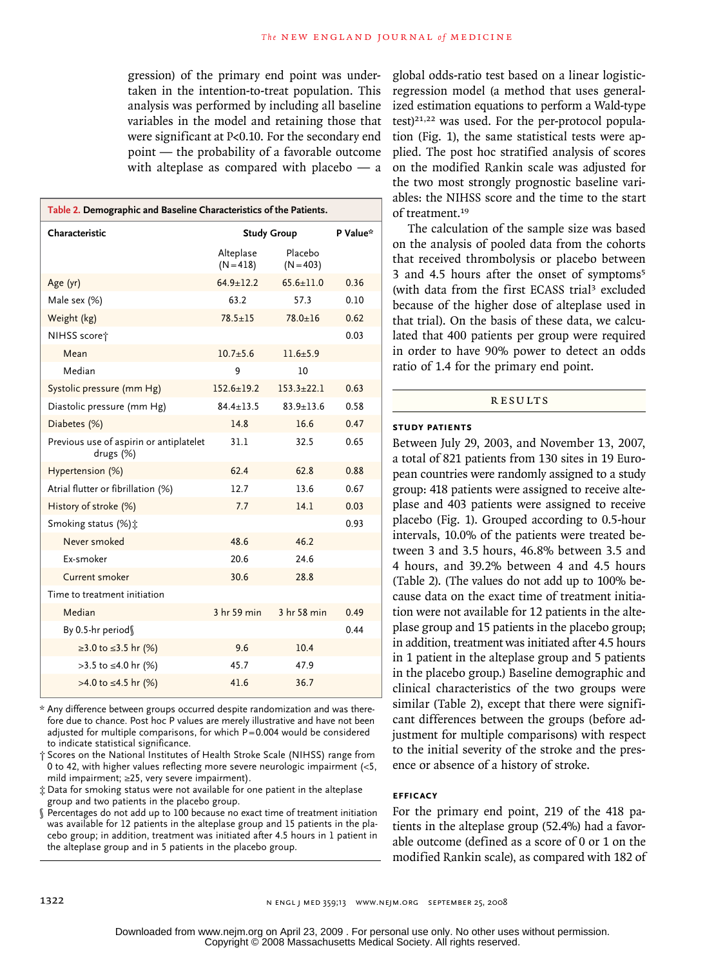gression) of the primary end point was undertaken in the intention-to-treat population. This analysis was performed by including all baseline variables in the model and retaining those that were significant at P<0.10. For the secondary end point — the probability of a favorable outcome with alteplase as compared with placebo — a

| Table 2. Demographic and Baseline Characteristics of the Patients. |                          |                        |          |  |  |  |
|--------------------------------------------------------------------|--------------------------|------------------------|----------|--|--|--|
| Characteristic                                                     | <b>Study Group</b>       |                        | P Value* |  |  |  |
|                                                                    | Alteplase<br>$(N = 418)$ | Placebo<br>$(N = 403)$ |          |  |  |  |
| Age (yr)                                                           | $64.9 \pm 12.2$          | $65.6 \pm 11.0$        | 0.36     |  |  |  |
| Male sex (%)                                                       | 63.2                     | 57.3                   | 0.10     |  |  |  |
| Weight (kg)                                                        | $78.5 + 15$              | $78.0 + 16$            | 0.62     |  |  |  |
| NIHSS score+                                                       |                          |                        | 0.03     |  |  |  |
| Mean                                                               | $10.7 + 5.6$             | $11.6 + 5.9$           |          |  |  |  |
| Median                                                             | 9                        | 10                     |          |  |  |  |
| Systolic pressure (mm Hg)                                          | $152.6 + 19.2$           | $153.3 + 22.1$         | 0.63     |  |  |  |
| Diastolic pressure (mm Hg)                                         | $84.4 \pm 13.5$          | $83.9 + 13.6$          | 0.58     |  |  |  |
| Diabetes (%)                                                       | 14.8                     | 16.6                   | 0.47     |  |  |  |
| Previous use of aspirin or antiplatelet<br>drugs (%)               | 31.1                     | 32.5                   | 0.65     |  |  |  |
| Hypertension (%)                                                   | 62.4                     | 62.8                   | 0.88     |  |  |  |
| Atrial flutter or fibrillation (%)                                 | 12.7                     | 13.6                   | 0.67     |  |  |  |
| History of stroke (%)                                              | 7.7                      | 14.1                   | 0.03     |  |  |  |
| Smoking status (%) ±                                               |                          |                        | 0.93     |  |  |  |
| Never smoked                                                       | 48.6                     | 46.2                   |          |  |  |  |
| Ex-smoker                                                          | 20.6                     | 74.6                   |          |  |  |  |
| Current smoker                                                     | 30.6                     | 28.8                   |          |  |  |  |
| Time to treatment initiation                                       |                          |                        |          |  |  |  |
| Median                                                             | 3 hr 59 min              | 3 hr 58 min            | 0.49     |  |  |  |
| By 0.5-hr period                                                   |                          |                        | 0.44     |  |  |  |
| ≥3.0 to ≤3.5 hr (%)                                                | 9.6                      | 10.4                   |          |  |  |  |
| >3.5 to ≤4.0 hr (%)                                                | 45.7                     | 47.9                   |          |  |  |  |
| >4.0 to ≤4.5 hr (%)                                                | 41.6                     | 36.7                   |          |  |  |  |

\* Any difference between groups occurred despite randomization and was therefore due to chance. Post hoc P values are merely illustrative and have not been adjusted for multiple comparisons, for which  $P=0.004$  would be considered to indicate statistical significance.

† Scores on the National Institutes of Health Stroke Scale (NIHSS) range from 0 to 42, with higher values reflecting more severe neurologic impairment (<5, mild impairment; ≥25, very severe impairment).

‡ Data for smoking status were not available for one patient in the alteplase group and two patients in the placebo group.

§ Percentages do not add up to 100 because no exact time of treatment initiation was available for 12 patients in the alteplase group and 15 patients in the placebo group; in addition, treatment was initiated after 4.5 hours in 1 patient in the alteplase group and in 5 patients in the placebo group.

global odds-ratio test based on a linear logisticregression model (a method that uses generalized estimation equations to perform a Wald-type  $test)^{21,22}$  was used. For the per-protocol population (Fig. 1), the same statistical tests were applied. The post hoc stratified analysis of scores on the modified Rankin scale was adjusted for the two most strongly prognostic baseline variables: the NIHSS score and the time to the start of treatment.<sup>19</sup>

The calculation of the sample size was based on the analysis of pooled data from the cohorts that received thrombolysis or placebo between 3 and 4.5 hours after the onset of symptoms<sup>5</sup> (with data from the first ECASS trial<sup>3</sup> excluded because of the higher dose of alteplase used in that trial). On the basis of these data, we calculated that 400 patients per group were required in order to have 90% power to detect an odds ratio of 1.4 for the primary end point.

#### **RESULTS**

#### **Study Patients**

Between July 29, 2003, and November 13, 2007, a total of 821 patients from 130 sites in 19 European countries were randomly assigned to a study group: 418 patients were assigned to receive alteplase and 403 patients were assigned to receive placebo (Fig. 1). Grouped according to 0.5-hour intervals, 10.0% of the patients were treated between 3 and 3.5 hours, 46.8% between 3.5 and 4 hours, and 39.2% between 4 and 4.5 hours (Table 2). (The values do not add up to 100% because data on the exact time of treatment initiation were not available for 12 patients in the alteplase group and 15 patients in the placebo group; in addition, treatment was initiated after 4.5 hours in 1 patient in the alteplase group and 5 patients in the placebo group.) Baseline demographic and clinical characteristics of the two groups were similar (Table 2), except that there were significant differences between the groups (before adjustment for multiple comparisons) with respect to the initial severity of the stroke and the presence or absence of a history of stroke.

# **Efficacy**

For the primary end point, 219 of the 418 patients in the alteplase group (52.4%) had a favorable outcome (defined as a score of 0 or 1 on the modified Rankin scale), as compared with 182 of

Copyright © 2008 Massachusetts Medical Society. All rights reserved. Downloaded from www.nejm.org on April 23, 2009 . For personal use only. No other uses without permission.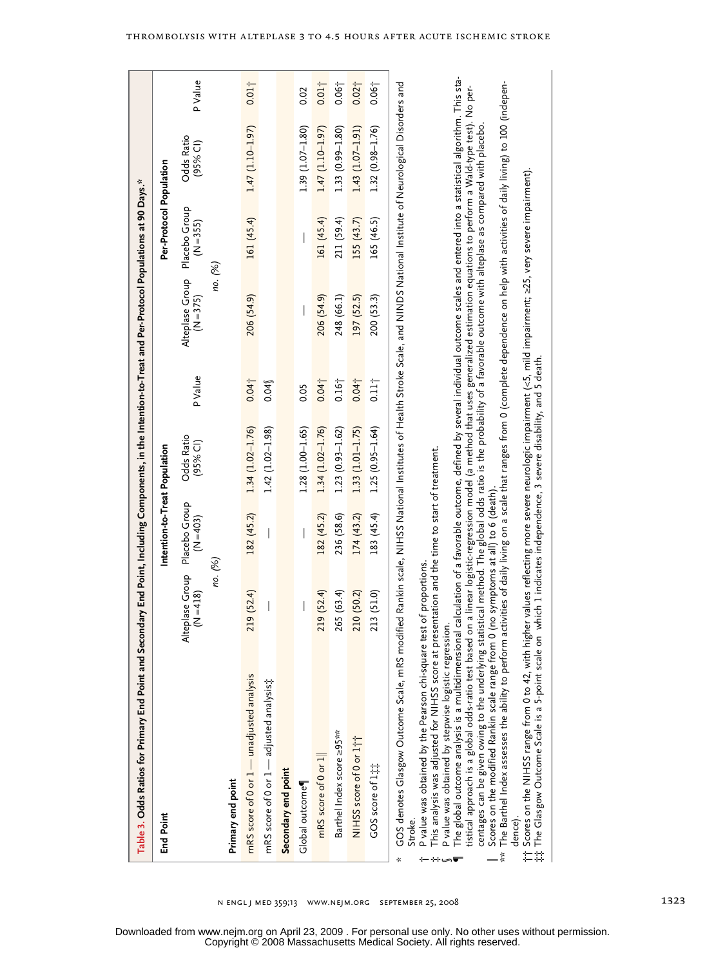| Table 3. Odds Ratios for Primary End Point and Secondary End Point, Including Components, in the Intention-to-Treat and Per-Protocol Populations at 90 Days.*                                                                                                                                                                                                                                                                                                                                                                                                                                                                                                                                                                                                                                                                                                                                                                                                                                                                                                                                                                                                                                                                                                                                  |                                                                                           |                               |                               |                     |                                                                                                                                                                                                                                                              |                            |                                 |                   |
|------------------------------------------------------------------------------------------------------------------------------------------------------------------------------------------------------------------------------------------------------------------------------------------------------------------------------------------------------------------------------------------------------------------------------------------------------------------------------------------------------------------------------------------------------------------------------------------------------------------------------------------------------------------------------------------------------------------------------------------------------------------------------------------------------------------------------------------------------------------------------------------------------------------------------------------------------------------------------------------------------------------------------------------------------------------------------------------------------------------------------------------------------------------------------------------------------------------------------------------------------------------------------------------------|-------------------------------------------------------------------------------------------|-------------------------------|-------------------------------|---------------------|--------------------------------------------------------------------------------------------------------------------------------------------------------------------------------------------------------------------------------------------------------------|----------------------------|---------------------------------|-------------------|
| <b>End Point</b>                                                                                                                                                                                                                                                                                                                                                                                                                                                                                                                                                                                                                                                                                                                                                                                                                                                                                                                                                                                                                                                                                                                                                                                                                                                                               |                                                                                           | Intention-to-Treat Population |                               |                     |                                                                                                                                                                                                                                                              | Per-Protocol Population    |                                 |                   |
|                                                                                                                                                                                                                                                                                                                                                                                                                                                                                                                                                                                                                                                                                                                                                                                                                                                                                                                                                                                                                                                                                                                                                                                                                                                                                                | Alteplase Group<br>$(N=418)$                                                              | Placebo Group<br>$(N=403)$    | <b>Odds Ratio</b><br>(95% C1) | P Value             | Alteplase Group<br>$(N = 375)$                                                                                                                                                                                                                               | Placebo Group<br>$(N=355)$ | <b>Odds Ratio</b><br>$(95%$ CI) | P Value           |
|                                                                                                                                                                                                                                                                                                                                                                                                                                                                                                                                                                                                                                                                                                                                                                                                                                                                                                                                                                                                                                                                                                                                                                                                                                                                                                | no. (%)                                                                                   |                               |                               |                     |                                                                                                                                                                                                                                                              | no. (%)                    |                                 |                   |
| Primary end point                                                                                                                                                                                                                                                                                                                                                                                                                                                                                                                                                                                                                                                                                                                                                                                                                                                                                                                                                                                                                                                                                                                                                                                                                                                                              |                                                                                           |                               |                               |                     |                                                                                                                                                                                                                                                              |                            |                                 |                   |
| mRS score of 0 or 1 — unadjusted analysis                                                                                                                                                                                                                                                                                                                                                                                                                                                                                                                                                                                                                                                                                                                                                                                                                                                                                                                                                                                                                                                                                                                                                                                                                                                      | 219 (52.4)                                                                                | 182(45.2)                     | 1.34 (1.02-1.76)              | $0.04$ <sup>+</sup> | 206 (54.9)                                                                                                                                                                                                                                                   | 161 (45.4)                 | $1.47(1.10-1.97)$               | $0.01+$           |
| mRS score of 0 or 1 - adjusted analysis;                                                                                                                                                                                                                                                                                                                                                                                                                                                                                                                                                                                                                                                                                                                                                                                                                                                                                                                                                                                                                                                                                                                                                                                                                                                       |                                                                                           |                               | $1.42(1.02 - 1.98)$           | 0.04                |                                                                                                                                                                                                                                                              |                            |                                 |                   |
| Secondary end point                                                                                                                                                                                                                                                                                                                                                                                                                                                                                                                                                                                                                                                                                                                                                                                                                                                                                                                                                                                                                                                                                                                                                                                                                                                                            |                                                                                           |                               |                               |                     |                                                                                                                                                                                                                                                              |                            |                                 |                   |
| Global outcome                                                                                                                                                                                                                                                                                                                                                                                                                                                                                                                                                                                                                                                                                                                                                                                                                                                                                                                                                                                                                                                                                                                                                                                                                                                                                 |                                                                                           |                               | $1.28$ $(1.00 - 1.65)$        | 0.05                |                                                                                                                                                                                                                                                              |                            | $1.39(1.07 - 1.80)$             | 0.02              |
| mRS score of 0 or 1                                                                                                                                                                                                                                                                                                                                                                                                                                                                                                                                                                                                                                                                                                                                                                                                                                                                                                                                                                                                                                                                                                                                                                                                                                                                            | 219 (52.4)                                                                                | 182(45.2)                     | $1.34(1.02 - 1.76)$           | $0.04$ <sup>*</sup> | 206 (54.9)                                                                                                                                                                                                                                                   | 161 (45.4)                 | 1.47 (1.10-1.97)                | $0.01+$           |
| Barthel Index score 295***                                                                                                                                                                                                                                                                                                                                                                                                                                                                                                                                                                                                                                                                                                                                                                                                                                                                                                                                                                                                                                                                                                                                                                                                                                                                     | 265 (63.4)                                                                                | 236 (58.6)                    | $1.23(0.93 - 1.62)$           | $0.16$ <sup>*</sup> | 248 (66.1)                                                                                                                                                                                                                                                   | 211 (59.4)                 | $1.33(0.99 - 1.80)$             | $0.06+$           |
| NIHSS score of 0 or 111                                                                                                                                                                                                                                                                                                                                                                                                                                                                                                                                                                                                                                                                                                                                                                                                                                                                                                                                                                                                                                                                                                                                                                                                                                                                        | 210 (50.2)                                                                                | 174(43.2)                     | $1.33(1.01 - 1.75)$           | $0.04$ <sup>*</sup> | 197 (52.5)                                                                                                                                                                                                                                                   | 155(43.7)                  | $1.43(1.07-1.91)$               | 0.02 <sub>1</sub> |
| GOS score of 1\$\$                                                                                                                                                                                                                                                                                                                                                                                                                                                                                                                                                                                                                                                                                                                                                                                                                                                                                                                                                                                                                                                                                                                                                                                                                                                                             | 213 (51.0)                                                                                | 183(45.4)                     | $1.25(0.95 - 1.64)$           | 0.11 <sub>1</sub>   | 200 (53.3)                                                                                                                                                                                                                                                   | 165 (46.5)                 | $1.32(0.98 - 1.76)$             | $0.06+$           |
| The global outcome analysis is a multidimensional calculation of a favorable outcome, defined by several individual outcome scales and entered into a statistical algorithm. This sta<br>GOS denotes Glasgow Outcome Scale, mRS modified Rankin scale, NIHSS National Institutes of Health Stroke Scale, and NINDS National Institute of Neurological Disorders and<br>tistical approach is a global odds-ratio test based on a linear logistic-regression model (a method that uses generalized estimation equations to perform a Wald-type test). No per-<br>centages can be given owing to the underlying statistical method. The global odds ratio is the probability of a favorable outcome with alteplase as compared with placebo.<br>The Glasgow Outcome Scale is a 5-point scale on which 1 indicates independence, 3 severe disability, and 5 death<br>P value was obtained by the Pearson chi-square test of proportions.<br>P value was obtained by stepwise logistic regression<br>This analysis was adjusted for NIHSS score at<br>Scores on the modified Rankin scale range fro<br>The Barthel Index assesses the ability to perfo<br>ff Scores on the NIHSS range from 0 to 42, with<br>## The Glasgow Outcome Scale is a 5-noint ecale<br>Stroke.<br>dence).<br>$\frac{1}{2}$ | presentation and the time to start of treatment.<br>m 0 (no symptoms at all) to 6 (death) |                               |                               |                     | rm activities of daily living on a scale that ranges from 0 (complete dependence on help with activities of daily living) to 100 (indepen-<br>higher values reflecting more severe neurologic impairment (<5, mild impairment; =25, very severe impairment). |                            |                                 |                   |

thrombolysis with Alteplase 3 to 4.5 Hours after Acute Ischemic Stroke

Copyright © 2008 Massachusetts Medical Society. All rights reserved. Downloaded from www.nejm.org on April 23, 2009 . For personal use only. No other uses without permission.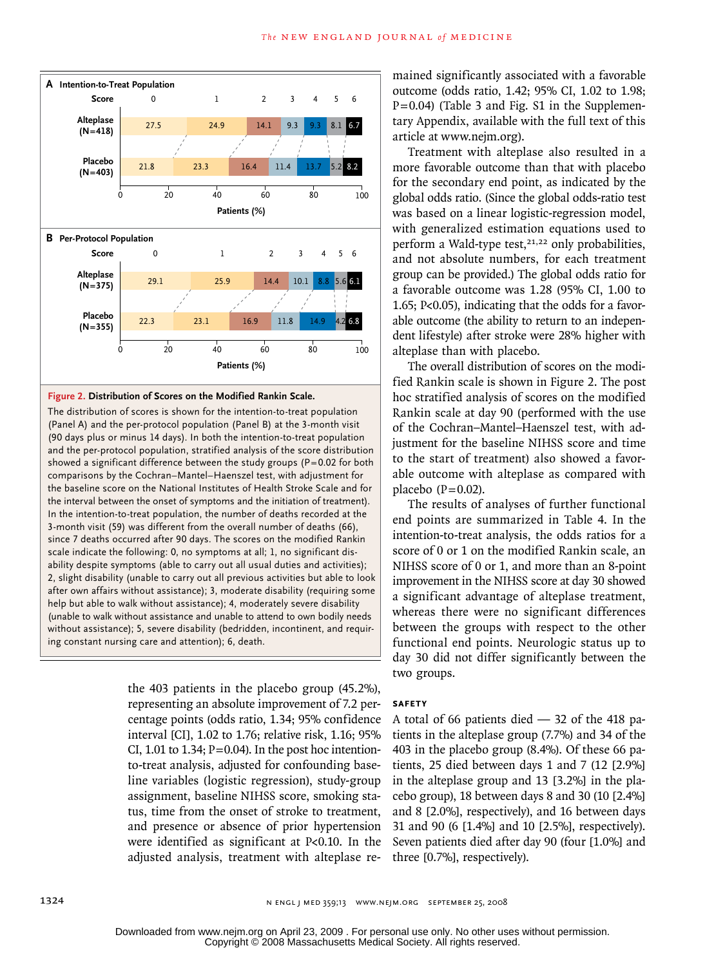

Figure 2. Distribution of Scores on the Modified Rankin Scale.

showed a significant difference between the study groups (P=0.02 for both The distribution of scores is shown for the intention-to-treat population 3-month visit (59) was different from the overall number of deaths (66), (90 days plus or minus 14 days). In both the intention-to-treat population and the per-protocol population, stratified analysis of the score distribution<br>and the per-protocol population, stratified analysis of the score distribution comparisons by the Cochran–Mantel–Haenszel test, with adjustment for the baseline score on the National Institutes of Health Stroke Scale and for the interval between the onset of symptoms and the initiation of treatment). (Panel A) and the per-protocol population (Panel B) at the 3-month visit In the intention-to-treat population, the number of deaths recorded at the since 7 deaths occurred after 90 days. The scores on the modified Rankin scale indicate the following: 0, no symptoms at all; 1, no significant disability despite symptoms (able to carry out all usual duties and activities); 2, slight disability (unable to carry out all previous activities but able to look after own affairs without assistance); 3, moderate disability (requiring some help but able to walk without assistance); 4, moderately severe disability (unable to walk without assistance and unable to attend to own bodily needs without assistance); 5, severe disability (bedridden, incontinent, and requiring constant nursing care and attention); 6, death.

> the 403 patients in the placebo group (45.2%), representing an absolute improvement of 7.2 percentage points (odds ratio, 1.34; 95% confidence interval [CI], 1.02 to 1.76; relative risk, 1.16; 95% CI, 1.01 to 1.34;  $P=0.04$ ). In the post hoc intentionto-treat analysis, adjusted for confounding baseline variables (logistic regression), study-group assignment, baseline NIHSS score, smoking status, time from the onset of stroke to treatment, and presence or absence of prior hypertension were identified as significant at P<0.10. In the adjusted analysis, treatment with alteplase re

mained significantly associated with a favorable outcome (odds ratio, 1.42; 95% CI, 1.02 to 1.98;  $P=0.04$ ) (Table 3 and Fig. S1 in the Supplementary Appendix, available with the full text of this article at www.nejm.org).

Treatment with alteplase also resulted in a more favorable outcome than that with placebo for the secondary end point, as indicated by the global odds ratio. (Since the global odds-ratio test was based on a linear logistic-regression model, with generalized estimation equations used to perform a Wald-type test,<sup>21,22</sup> only probabilities, and not absolute numbers, for each treatment group can be provided.) The global odds ratio for a favorable outcome was 1.28 (95% CI, 1.00 to 1.65; P<0.05), indicating that the odds for a favorable outcome (the ability to return to an independent lifestyle) after stroke were 28% higher with alteplase than with placebo.

The overall distribution of scores on the modified Rankin scale is shown in Figure 2. The post hoc stratified analysis of scores on the modified Rankin scale at day 90 (performed with the use of the Cochran–Mantel–Haenszel test, with adjustment for the baseline NIHSS score and time to the start of treatment) also showed a favorable outcome with alteplase as compared with placebo  $(P=0.02)$ .

The results of analyses of further functional end points are summarized in Table 4. In the intention-to-treat analysis, the odds ratios for a score of 0 or 1 on the modified Rankin scale, an NIHSS score of 0 or 1, and more than an 8-point improvement in the NIHSS score at day 30 showed a significant advantage of alteplase treatment, whereas there were no significant differences between the groups with respect to the other functional end points. Neurologic status up to day 30 did not differ significantly between the two groups.

#### **Safety**

A total of 66 patients died  $-$  32 of the 418 patients in the alteplase group (7.7%) and 34 of the 403 in the placebo group (8.4%). Of these 66 patients, 25 died between days 1 and 7 (12 [2.9%] in the alteplase group and 13 [3.2%] in the placebo group), 18 between days 8 and 30 (10 [2.4%] and 8 [2.0%], respectively), and 16 between days 31 and 90 (6 [1.4%] and 10 [2.5%], respectively). Seven patients died after day 90 (four [1.0%] and three [0.7%], respectively).

Copyright © 2008 Massachusetts Medical Society. All rights reserved. Downloaded from www.nejm.org on April 23, 2009 . For personal use only. No other uses without permission.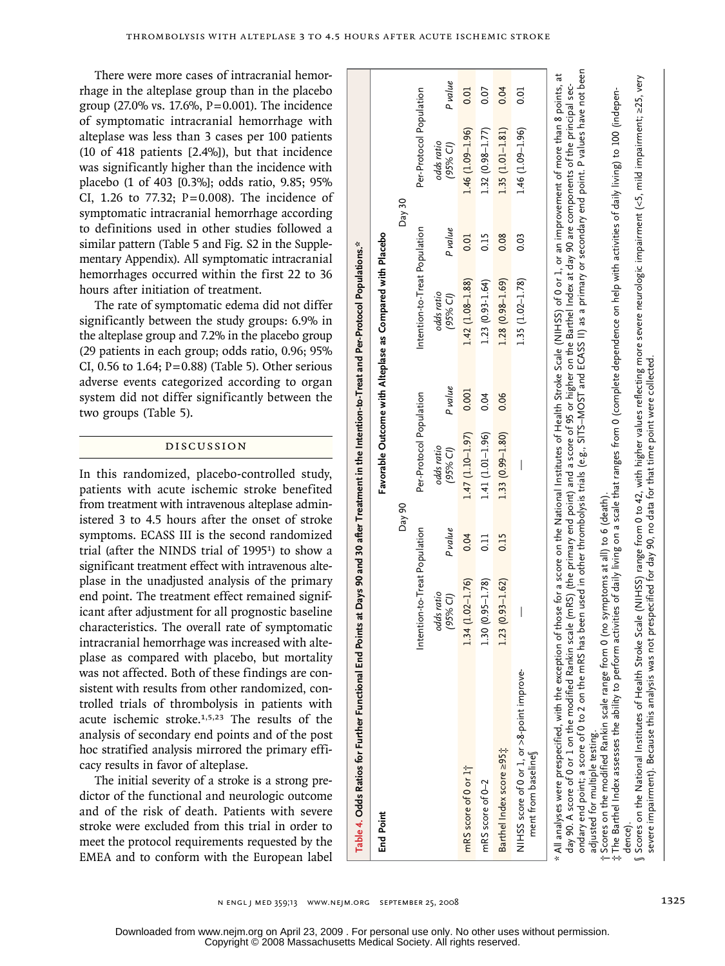There were more cases of intracranial hemorrhage in the alteplase group than in the placebo group (27.0% vs. 17.6%,  $P = 0.001$ ). The incidence of symptomatic intracranial hemorrhage with alteplase was less than 3 cases per 100 patients (10 of 418 patients [2.4%]), but that incidence was significantly higher than the incidence with placebo (1 of 403 [0.3%]; odds ratio, 9.85; 95% CI, 1.26 to 77.32;  $P = 0.008$ ). The incidence of symptomatic intracranial hemorrhage according to definitions used in other studies followed a similar pattern (Table 5 and Fig. S2 in the Supplementary Appendix). All symptomatic intracranial hemorrhages occurred within the first 22 to 36 hours after initiation of treatment.

The rate of symptomatic edema did not differ significantly between the study groups: 6.9% in the alteplase group and 7.2% in the placebo group (29 patients in each group; odds ratio, 0.96; 95% CI, 0.56 to 1.64;  $P=0.88$ ) (Table 5). Other serious adverse events categorized according to organ system did not differ significantly between the two groups (Table 5).

# Discussion

In this randomized, placebo-controlled study, patients with acute ischemic stroke benefited from treatment with intravenous alteplase administered 3 to 4.5 hours after the onset of stroke symptoms. ECASS III is the second randomized trial (after the NINDS trial of 19951) to show a significant treatment effect with intravenous alteplase in the unadjusted analysis of the primary end point. The treatment effect remained significant after adjustment for all prognostic baseline characteristics. The overall rate of symptomatic intracranial hemorrhage was increased with alteplase as compared with placebo, but mortality was not affected. Both of these findings are consistent with results from other randomized, controlled trials of thrombolysis in patients with acute ischemic stroke.1,5,23 The results of the analysis of secondary end points and of the post hoc stratified analysis mirrored the primary efficacy results in favor of alteplase.

The initial severity of a stroke is a strong predictor of the functional and neurologic outcome and of the risk of death. Patients with severe stroke were excluded from this trial in order to meet the protocol requirements requested by the EMEA and to conform with the European label

| Table 4. Odds Ratios for Further Functional End Points at Days 90 and 30 after Treatment in the Intention-to-Treat and Per-Protocol Populations."                                                                                                                                                                                                                                                                                                                                                                                                                                                                                                                                                                                                                                                                                                                                                  |                               |                |                         |        |                                                           |        |                         |         |
|----------------------------------------------------------------------------------------------------------------------------------------------------------------------------------------------------------------------------------------------------------------------------------------------------------------------------------------------------------------------------------------------------------------------------------------------------------------------------------------------------------------------------------------------------------------------------------------------------------------------------------------------------------------------------------------------------------------------------------------------------------------------------------------------------------------------------------------------------------------------------------------------------|-------------------------------|----------------|-------------------------|--------|-----------------------------------------------------------|--------|-------------------------|---------|
| <b>End Point</b>                                                                                                                                                                                                                                                                                                                                                                                                                                                                                                                                                                                                                                                                                                                                                                                                                                                                                   |                               |                |                         |        | Favorable Outcome with Alteplase as Compared with Placebo |        |                         |         |
|                                                                                                                                                                                                                                                                                                                                                                                                                                                                                                                                                                                                                                                                                                                                                                                                                                                                                                    |                               | Day 90         |                         |        |                                                           |        | Day 30                  |         |
|                                                                                                                                                                                                                                                                                                                                                                                                                                                                                                                                                                                                                                                                                                                                                                                                                                                                                                    | Intention-to-Treat Population |                | Per-Protocol Population |        | Intention-to-Treat Population                             |        | Per-Protocol Population |         |
|                                                                                                                                                                                                                                                                                                                                                                                                                                                                                                                                                                                                                                                                                                                                                                                                                                                                                                    | odds ratio<br>(95% C1)        | Pvalue         | odds ratio<br>(95% C)   | Pvalue | odds ratio<br>$(95%$ CI)                                  | Pvalue | odds ratio<br>(95% C)   | P value |
| mRS score of 0 or 1 <sup>+</sup>                                                                                                                                                                                                                                                                                                                                                                                                                                                                                                                                                                                                                                                                                                                                                                                                                                                                   | $.34(1.02 - 1.76)$            | 0.04           | $1.47(1.10-1.97)$       | 0.001  | $1.42$ $(1.08 - 1.88)$                                    | 0.01   | 1.46 (1.09-1.96)        | 0.01    |
| mRS score of 0-2                                                                                                                                                                                                                                                                                                                                                                                                                                                                                                                                                                                                                                                                                                                                                                                                                                                                                   | $.30(0.95 - 1.78)$            | $\overline{C}$ | $1.41(1.01 - 1.96)$     | 0.04   | $1.23(0.93-1.64)$                                         | 0.15   | $1.32(0.98 - 1.77)$     | 0.07    |
| Barthel Index score 295;                                                                                                                                                                                                                                                                                                                                                                                                                                                                                                                                                                                                                                                                                                                                                                                                                                                                           | $.23(0.93 - 1.62)$            | 0.15           | $1.33(0.99 - 1.80)$     | 0.06   | $1.28(0.98 - 1.69)$                                       | 0.08   | $1.35(1.01 - 1.81)$     | 0.04    |
| NIHSS score of 0 or 1, or >8-point improve-<br>ment from baselines                                                                                                                                                                                                                                                                                                                                                                                                                                                                                                                                                                                                                                                                                                                                                                                                                                 |                               |                |                         |        | $1.35(1.02 - 1.78)$                                       | 0.03   | $1.46(1.09 - 1.96)$     | 0.01    |
| ondary end point; a score of 0 to 2 on the mRS has been used in other thrombolysis trials (e.g., SITS-MOST and ECASS II) as a primary or secondary end point. P values have not been<br>* All analyses were prespecified, with the exception of those for a score on the National Institutes of Health Stroke Scale (NIHSS) of 0 or 1, or an improvement of more than 8 points, at<br>day 90. A score of 0 or 1 on the modified Rankin scale (mRS) (the primary end point) and a score of 95 or higher on the Barthel Index at day 90 are components of the principal sec-<br>the Barthel Index assesses the ability to perform activities of daily living on a scale that ranges from 0 (complete dependence on help with activities of daily living) to 100 (indepen-<br>t Scores on the modified Rankin scale range from 0 (no symptoms at all) to 6 (death).<br>adjusted for multiple testing. |                               |                |                         |        |                                                           |        |                         |         |

n engl j med 359;13 www.nejm.org september 25, 2008 1325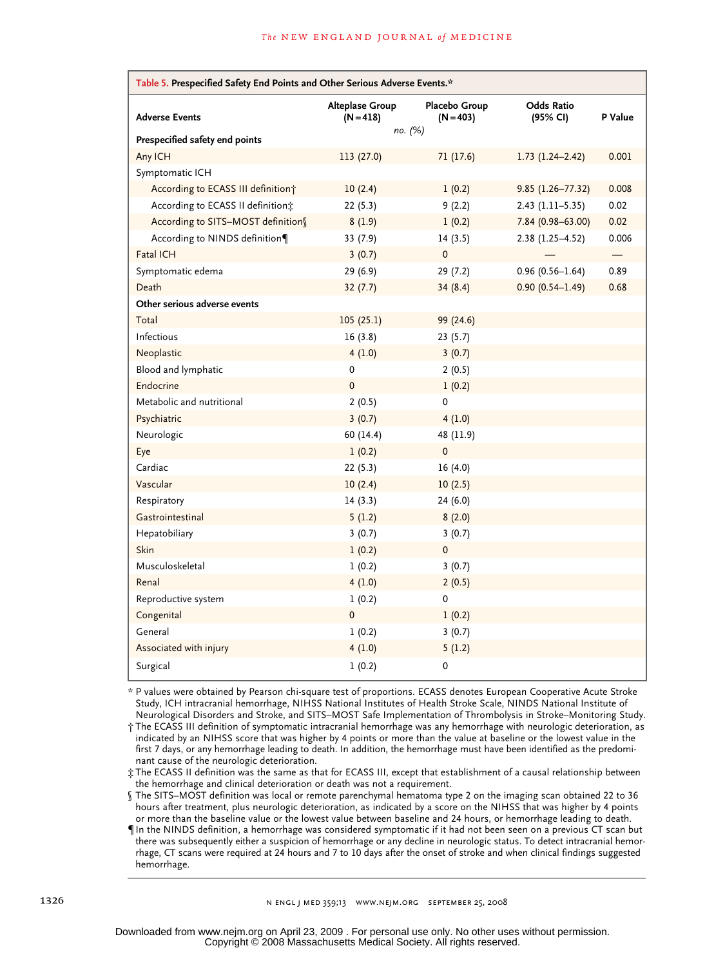| Table 5. Prespecified Safety End Points and Other Serious Adverse Events.* |                                       |                              |                               |         |  |  |
|----------------------------------------------------------------------------|---------------------------------------|------------------------------|-------------------------------|---------|--|--|
| <b>Adverse Events</b>                                                      | <b>Alteplase Group</b><br>$(N = 418)$ | Placebo Group<br>$(N = 403)$ | <b>Odds Ratio</b><br>(95% CI) | P Value |  |  |
| Prespecified safety end points                                             | no. (%)                               |                              |                               |         |  |  |
| Any ICH                                                                    | 113 (27.0)                            | 71(17.6)                     | $1.73$ $(1.24 - 2.42)$        | 0.001   |  |  |
| Symptomatic ICH                                                            |                                       |                              |                               |         |  |  |
| According to ECASS III definition;                                         | 10(2.4)                               | 1(0.2)                       | $9.85(1.26 - 77.32)$          | 0.008   |  |  |
| According to ECASS II definition;                                          | 22(5.3)                               | 9(2.2)                       | $2.43$ (1.11-5.35)            | 0.02    |  |  |
| According to SITS-MOST definition                                          | 8(1.9)                                | 1(0.2)                       | 7.84 (0.98-63.00)             | 0.02    |  |  |
| According to NINDS definition¶                                             | 33 (7.9)                              | 14(3.5)                      | 2.38 (1.25-4.52)              | 0.006   |  |  |
| <b>Fatal ICH</b>                                                           | 3(0.7)                                | $\mathbf 0$                  |                               |         |  |  |
| Symptomatic edema                                                          | 29 (6.9)                              | 29(7.2)                      | $0.96(0.56 - 1.64)$           | 0.89    |  |  |
| Death                                                                      | 32(7.7)                               | 34(8.4)                      | $0.90(0.54 - 1.49)$           | 0.68    |  |  |
| Other serious adverse events                                               |                                       |                              |                               |         |  |  |
| Total                                                                      | 105(25.1)                             | 99 (24.6)                    |                               |         |  |  |
| Infectious                                                                 | 16(3.8)                               | 23(5.7)                      |                               |         |  |  |
| Neoplastic                                                                 | 4(1.0)                                | 3(0.7)                       |                               |         |  |  |
| Blood and lymphatic                                                        | 0                                     | 2(0.5)                       |                               |         |  |  |
| Endocrine                                                                  | $\mathbf 0$                           | 1(0.2)                       |                               |         |  |  |
| Metabolic and nutritional                                                  | 2(0.5)                                | 0                            |                               |         |  |  |
| Psychiatric                                                                | 3(0.7)                                | 4(1.0)                       |                               |         |  |  |
| Neurologic                                                                 | 60 (14.4)                             | 48 (11.9)                    |                               |         |  |  |
| Eye                                                                        | 1(0.2)                                | $\pmb{0}$                    |                               |         |  |  |
| Cardiac                                                                    | 22(5.3)                               | 16(4.0)                      |                               |         |  |  |
| Vascular                                                                   | 10(2.4)                               | 10(2.5)                      |                               |         |  |  |
| Respiratory                                                                | 14(3.3)                               | 24(6.0)                      |                               |         |  |  |
| Gastrointestinal                                                           | 5(1.2)                                | 8(2.0)                       |                               |         |  |  |
| Hepatobiliary                                                              | 3(0.7)                                | 3(0.7)                       |                               |         |  |  |
| Skin                                                                       | 1(0.2)                                | 0                            |                               |         |  |  |
| Musculoskeletal                                                            | 1(0.2)                                | 3(0.7)                       |                               |         |  |  |
| Renal                                                                      | 4(1.0)                                | 2(0.5)                       |                               |         |  |  |
| Reproductive system                                                        | 1(0.2)                                | 0                            |                               |         |  |  |
| Congenital                                                                 | 0                                     | 1(0.2)                       |                               |         |  |  |
| General                                                                    | 1(0.2)                                | 3(0.7)                       |                               |         |  |  |
| Associated with injury                                                     | 4(1.0)                                | 5(1.2)                       |                               |         |  |  |
| Surgical                                                                   | 1(0.2)                                | 0                            |                               |         |  |  |

\* P values were obtained by Pearson chi-square test of proportions. ECASS denotes European Cooperative Acute Stroke Study, ICH intracranial hemorrhage, NIHSS National Institutes of Health Stroke Scale, NINDS National Institute of Neurological Disorders and Stroke, and SITS–MOST Safe Implementation of Thrombolysis in Stroke–Monitoring Study.

† The ECASS III definition of symptomatic intracranial hemorrhage was any hemorrhage with neurologic deterioration, as indicated by an NIHSS score that was higher by 4 points or more than the value at baseline or the lowest value in the first 7 days, or any hemorrhage leading to death. In addition, the hemorrhage must have been identified as the predominant cause of the neurologic deterioration.

‡ The ECASS II definition was the same as that for ECASS III, except that establishment of a causal relationship between the hemorrhage and clinical deterioration or death was not a requirement.

§ The SITS–MOST definition was local or remote parenchymal hematoma type 2 on the imaging scan obtained 22 to 36 hours after treatment, plus neurologic deterioration, as indicated by a score on the NIHSS that was higher by 4 points or more than the baseline value or the lowest value between baseline and 24 hours, or hemorrhage leading to death.

¶In the NINDS definition, a hemorrhage was considered symptomatic if it had not been seen on a previous CT scan but there was subsequently either a suspicion of hemorrhage or any decline in neurologic status. To detect intracranial hemorrhage, CT scans were required at 24 hours and 7 to 10 days after the onset of stroke and when clinical findings suggested hemorrhage.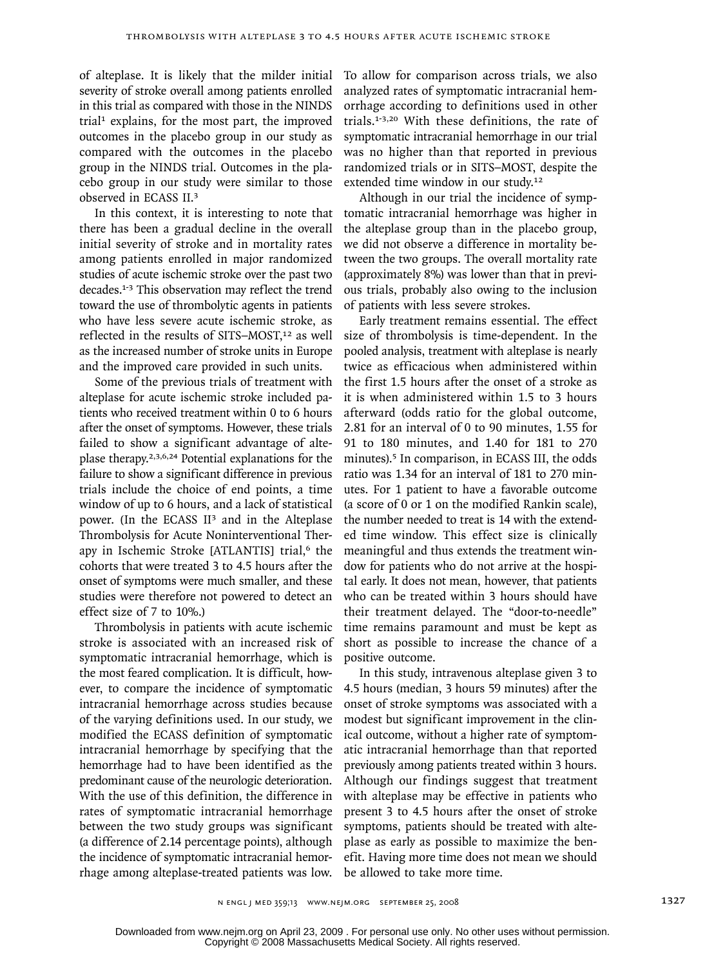of alteplase. It is likely that the milder initial severity of stroke overall among patients enrolled in this trial as compared with those in the NINDS trial<sup>1</sup> explains, for the most part, the improved outcomes in the placebo group in our study as compared with the outcomes in the placebo group in the NINDS trial. Outcomes in the placebo group in our study were similar to those observed in ECASS II.<sup>3</sup>

In this context, it is interesting to note that there has been a gradual decline in the overall initial severity of stroke and in mortality rates among patients enrolled in major randomized studies of acute ischemic stroke over the past two decades.1-3 This observation may reflect the trend toward the use of thrombolytic agents in patients who have less severe acute ischemic stroke, as reflected in the results of SITS-MOST,<sup>12</sup> as well as the increased number of stroke units in Europe and the improved care provided in such units.

Some of the previous trials of treatment with alteplase for acute ischemic stroke included patients who received treatment within 0 to 6 hours after the onset of symptoms. However, these trials failed to show a significant advantage of alteplase therapy.2,3,6,24 Potential explanations for the failure to show a significant difference in previous trials include the choice of end points, a time window of up to 6 hours, and a lack of statistical power. (In the ECASS II<sup>3</sup> and in the Alteplase Thrombolysis for Acute Noninterventional Therapy in Ischemic Stroke [ATLANTIS] trial,<sup>6</sup> the cohorts that were treated 3 to 4.5 hours after the onset of symptoms were much smaller, and these studies were therefore not powered to detect an effect size of 7 to 10%.)

Thrombolysis in patients with acute ischemic stroke is associated with an increased risk of symptomatic intracranial hemorrhage, which is the most feared complication. It is difficult, however, to compare the incidence of symptomatic intracranial hemorrhage across studies because of the varying definitions used. In our study, we modified the ECASS definition of symptomatic intracranial hemorrhage by specifying that the hemorrhage had to have been identified as the predominant cause of the neurologic deterioration. With the use of this definition, the difference in rates of symptomatic intracranial hemorrhage between the two study groups was significant (a difference of 2.14 percentage points), although the incidence of symptomatic intracranial hemorrhage among alteplase-treated patients was low.

To allow for comparison across trials, we also analyzed rates of symptomatic intracranial hemorrhage according to definitions used in other trials.1-3,20 With these definitions, the rate of symptomatic intracranial hemorrhage in our trial was no higher than that reported in previous randomized trials or in SITS–MOST, despite the extended time window in our study.<sup>12</sup>

Although in our trial the incidence of symptomatic intracranial hemorrhage was higher in the alteplase group than in the placebo group, we did not observe a difference in mortality between the two groups. The overall mortality rate (approximately 8%) was lower than that in previous trials, probably also owing to the inclusion of patients with less severe strokes.

Early treatment remains essential. The effect size of thrombolysis is time-dependent. In the pooled analysis, treatment with alteplase is nearly twice as efficacious when administered within the first 1.5 hours after the onset of a stroke as it is when administered within 1.5 to 3 hours afterward (odds ratio for the global outcome, 2.81 for an interval of 0 to 90 minutes, 1.55 for 91 to 180 minutes, and 1.40 for 181 to 270 minutes).5 In comparison, in ECASS III, the odds ratio was 1.34 for an interval of 181 to 270 minutes. For 1 patient to have a favorable outcome (a score of 0 or 1 on the modified Rankin scale), the number needed to treat is 14 with the extended time window. This effect size is clinically meaningful and thus extends the treatment window for patients who do not arrive at the hospital early. It does not mean, however, that patients who can be treated within 3 hours should have their treatment delayed. The "door-to-needle" time remains paramount and must be kept as short as possible to increase the chance of a positive outcome.

In this study, intravenous alteplase given 3 to 4.5 hours (median, 3 hours 59 minutes) after the onset of stroke symptoms was associated with a modest but significant improvement in the clinical outcome, without a higher rate of symptomatic intracranial hemorrhage than that reported previously among patients treated within 3 hours. Although our findings suggest that treatment with alteplase may be effective in patients who present 3 to 4.5 hours after the onset of stroke symptoms, patients should be treated with alteplase as early as possible to maximize the benefit. Having more time does not mean we should be allowed to take more time.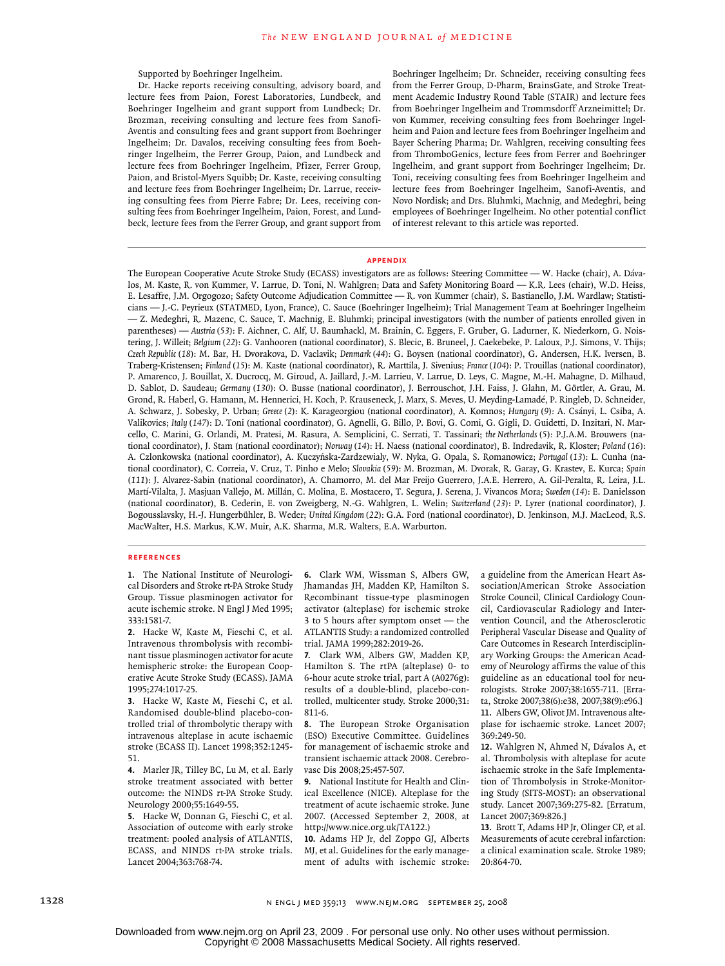#### Supported by Boehringer Ingelheim.

Dr. Hacke reports receiving consulting, advisory board, and lecture fees from Paion, Forest Laboratories, Lundbeck, and Boehringer Ingelheim and grant support from Lundbeck; Dr. Brozman, receiving consulting and lecture fees from Sanofi-Aventis and consulting fees and grant support from Boehringer Ingelheim; Dr. Davalos, receiving consulting fees from Boehringer Ingelheim, the Ferrer Group, Paion, and Lundbeck and lecture fees from Boehringer Ingelheim, Pfizer, Ferrer Group, Paion, and Bristol-Myers Squibb; Dr. Kaste, receiving consulting and lecture fees from Boehringer Ingelheim; Dr. Larrue, receiving consulting fees from Pierre Fabre; Dr. Lees, receiving consulting fees from Boehringer Ingelheim, Paion, Forest, and Lundbeck, lecture fees from the Ferrer Group, and grant support from

Boehringer Ingelheim; Dr. Schneider, receiving consulting fees from the Ferrer Group, D-Pharm, BrainsGate, and Stroke Treatment Academic Industry Round Table (STAIR) and lecture fees from Boehringer Ingelheim and Trommsdorff Arzneimittel; Dr. von Kummer, receiving consulting fees from Boehringer Ingelheim and Paion and lecture fees from Boehringer Ingelheim and Bayer Schering Pharma; Dr. Wahlgren, receiving consulting fees from ThromboGenics, lecture fees from Ferrer and Boehringer Ingelheim, and grant support from Boehringer Ingelheim; Dr. Toni, receiving consulting fees from Boehringer Ingelheim and lecture fees from Boehringer Ingelheim, Sanofi-Aventis, and Novo Nordisk; and Drs. Bluhmki, Machnig, and Medeghri, being employees of Boehringer Ingelheim. No other potential conflict of interest relevant to this article was reported.

#### **Appendix**

The European Cooperative Acute Stroke Study (ECASS) investigators are as follows: Steering Committee — W. Hacke (chair), A. Dávalos, M. Kaste, R. von Kummer, V. Larrue, D. Toni, N. Wahlgren; Data and Safety Monitoring Board — K.R. Lees (chair), W.D. Heiss, E. Lesaffre, J.M. Orgogozo; Safety Outcome Adjudication Committee — R. von Kummer (chair), S. Bastianello, J.M. Wardlaw; Statisticians — J.-C. Peyrieux (STATMED, Lyon, France), C. Sauce (Boehringer Ingelheim); Trial Management Team at Boehringer Ingelheim — Z. Medeghri, R. Mazenc, C. Sauce, T. Machnig, E. Bluhmki; principal investigators (with the number of patients enrolled given in parentheses) — *Austria* (*53*): F. Aichner, C. Alf, U. Baumhackl, M. Brainin, C. Eggers, F. Gruber, G. Ladurner, K. Niederkorn, G. Noistering, J. Willeit; *Belgium* (*22*): G. Vanhooren (national coordinator), S. Blecic, B. Bruneel, J. Caekebeke, P. Laloux, P.J. Simons, V. Thijs; *Czech Republic* (*18*): M. Bar, H. Dvorakova, D. Vaclavik; *Denmark* (*44*): G. Boysen (national coordinator), G. Andersen, H.K. Iversen, B. Traberg-Kristensen; *Finland* (*15*): M. Kaste (national coordinator), R. Marttila, J. Sivenius; *France* (*104*): P. Trouillas (national coordinator), P. Amarenco, J. Bouillat, X. Ducrocq, M. Giroud, A. Jaillard, J.-M. Larrieu, V. Larrue, D. Leys, C. Magne, M.-H. Mahagne, D. Milhaud, D. Sablot, D. Saudeau; *Germany* (*130*): O. Busse (national coordinator), J. Berrouschot, J.H. Faiss, J. Glahn, M. Görtler, A. Grau, M. Grond, R. Haberl, G. Hamann, M. Hennerici, H. Koch, P. Krauseneck, J. Marx, S. Meves, U. Meyding-Lamadé, P. Ringleb, D. Schneider, A. Schwarz, J. Sobesky, P. Urban; *Greece* (*2*): K. Karageorgiou (national coordinator), A. Komnos; *Hungary* (*9*)*:* A. Csányi, L. Csiba, A. Valikovics; *Italy* (*147*): D. Toni (national coordinator), G. Agnelli, G. Billo, P. Bovi, G. Comi, G. Gigli, D. Guidetti, D. Inzitari, N. Marcello, C. Marini, G. Orlandi, M. Pratesi, M. Rasura, A. Semplicini, C. Serrati, T. Tassinari; *the Netherlands* (*5*)*:* P.J.A.M. Brouwers (national coordinator), J. Stam (national coordinator); *Norway* (*14*): H. Naess (national coordinator), B. Indredavik, R. Kloster; *Poland* (*16*): A. Czlonkowska (national coordinator), A. Kuczyńska-Zardzewialy, W. Nyka, G. Opala, S. Romanowicz; *Portugal* (*13*): L. Cunha (national coordinator), C. Correia, V. Cruz, T. Pinho e Melo; *Slovakia* (*59*): M. Brozman, M. Dvorak, R. Garay, G. Krastev, E. Kurca; *Spain*  (*111*): J. Alvarez-Sabin (national coordinator), A. Chamorro, M. del Mar Freijo Guerrero, J.A.E. Herrero, A. Gil-Peralta, R. Leira, J.L. Martí-Vilalta, J. Masjuan Vallejo, M. Millán, C. Molina, E. Mostacero, T. Segura, J. Serena, J. Vivancos Mora; *Sweden* (*14*): E. Danielsson (national coordinator), B. Cederin, E. von Zweigberg, N.-G. Wahlgren, L. Welin; *Switzerland* (*23*): P. Lyrer (national coordinator), J. Bogousslavsky, H.-J. Hungerbühler, B. Weder; *United Kingdom* (*22*): G.A. Ford (national coordinator), D. Jenkinson, M.J. MacLeod, R.S. MacWalter, H.S. Markus, K.W. Muir, A.K. Sharma, M.R. Walters, E.A. Warburton.

#### **References**

**1.** The National Institute of Neurological Disorders and Stroke rt-PA Stroke Study Group. Tissue plasminogen activator for acute ischemic stroke. N Engl J Med 1995; 333:1581-7.

**2.** Hacke W, Kaste M, Fieschi C, et al. Intravenous thrombolysis with recombinant tissue plasminogen activator for acute hemispheric stroke: the European Cooperative Acute Stroke Study (ECASS). JAMA 1995;274:1017-25.

**3.** Hacke W, Kaste M, Fieschi C, et al. Randomised double-blind placebo-controlled trial of thrombolytic therapy with intravenous alteplase in acute ischaemic stroke (ECASS II). Lancet 1998;352:1245- 51.

**4.** Marler JR, Tilley BC, Lu M, et al. Early stroke treatment associated with better outcome: the NINDS rt-PA Stroke Study. Neurology 2000;55:1649-55.

**5.** Hacke W, Donnan G, Fieschi C, et al. Association of outcome with early stroke treatment: pooled analysis of ATLANTIS, ECASS, and NINDS rt-PA stroke trials. Lancet 2004;363:768-74.

**6.** Clark WM, Wissman S, Albers GW, Jhamandas JH, Madden KP, Hamilton S. Recombinant tissue-type plasminogen activator (alteplase) for ischemic stroke 3 to 5 hours after symptom onset — the ATLANTIS Study: a randomized controlled trial. JAMA 1999;282:2019-26.

**7.** Clark WM, Albers GW, Madden KP, Hamilton S. The rtPA (alteplase) 0- to 6-hour acute stroke trial, part A (A0276g): results of a double-blind, placebo-controlled, multicenter study. Stroke 2000;31: 811-6.

**8.** The European Stroke Organisation (ESO) Executive Committee. Guidelines for management of ischaemic stroke and transient ischaemic attack 2008. Cerebrovasc Dis 2008;25:457-507.

**9.** National Institute for Health and Clinical Excellence (NICE). Alteplase for the treatment of acute ischaemic stroke. June 2007. (Accessed September 2, 2008, at http://www.nice.org.uk/TA122.)

**10.** Adams HP Jr, del Zoppo GJ, Alberts MJ, et al. Guidelines for the early management of adults with ischemic stroke: a guideline from the American Heart Association/American Stroke Association Stroke Council, Clinical Cardiology Council, Cardiovascular Radiology and Intervention Council, and the Atherosclerotic Peripheral Vascular Disease and Quality of Care Outcomes in Research Interdisciplinary Working Groups: the American Academy of Neurology affirms the value of this guideline as an educational tool for neurologists. Stroke 2007;38:1655-711. [Errata, Stroke 2007;38(6):e38, 2007;38(9):e96.] **11.** Albers GW, Olivot JM. Intravenous alteplase for ischaemic stroke. Lancet 2007; 369:249-50.

**12.** Wahlgren N, Ahmed N, Dávalos A, et al. Thrombolysis with alteplase for acute ischaemic stroke in the Safe Implementation of Thrombolysis in Stroke-Monitoring Study (SITS-MOST): an observational study. Lancet 2007;369:275-82. [Erratum, Lancet 2007;369:826.]

**13.** Brott T, Adams HP Jr, Olinger CP, et al. Measurements of acute cerebral infarction: a clinical examination scale. Stroke 1989; 20:864-70.